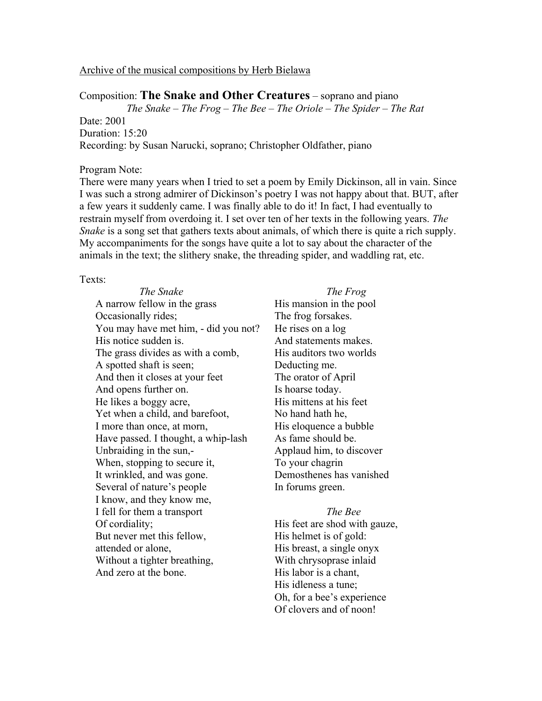# Archive of the musical compositions by Herb Bielawa

Composition: **The Snake and Other Creatures** – soprano and piano *The Snake – The Frog – The Bee – The Oriole – The Spider – The Rat* Date: 2001 Duration: 15:20 Recording: by Susan Narucki, soprano; Christopher Oldfather, piano

## Program Note:

There were many years when I tried to set a poem by Emily Dickinson, all in vain. Since I was such a strong admirer of Dickinson's poetry I was not happy about that. BUT, after a few years it suddenly came. I was finally able to do it! In fact, I had eventually to restrain myself from overdoing it. I set over ten of her texts in the following years. *The Snake* is a song set that gathers texts about animals, of which there is quite a rich supply. My accompaniments for the songs have quite a lot to say about the character of the animals in the text; the slithery snake, the threading spider, and waddling rat, etc.

## Texts:

*The Snake* A narrow fellow in the grass Occasionally rides; You may have met him, - did you not? His notice sudden is. The grass divides as with a comb, A spotted shaft is seen; And then it closes at your feet And opens further on. He likes a boggy acre, Yet when a child, and barefoot, I more than once, at morn, Have passed. I thought, a whip-lash Unbraiding in the sun,- When, stopping to secure it, It wrinkled, and was gone. Several of nature's people I know, and they know me, I fell for them a transport Of cordiality; But never met this fellow, attended or alone, Without a tighter breathing, And zero at the bone.

*The Frog* His mansion in the pool The frog forsakes. He rises on a log And statements makes. His auditors two worlds Deducting me. The orator of April Is hoarse today. His mittens at his feet No hand hath he, His eloquence a bubble As fame should be. Applaud him, to discover To your chagrin Demosthenes has vanished In forums green.

*The Bee* His feet are shod with gauze, His helmet is of gold: His breast, a single onyx With chrysoprase inlaid His labor is a chant, His idleness a tune; Oh, for a bee's experience Of clovers and of noon!